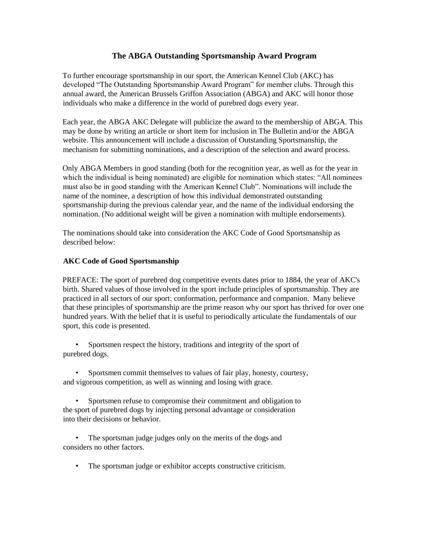## **The ABGA Outstanding Sportsmanship Award Program**

To further encourage sportsmanship in our sport, the American Kennel Club (AKC) has developed "The Outstanding Sportsmanship Award Program" for member clubs. Through this annual award, the American Brussels Griffon Association (ABGA) and AKC will honor those individuals who make a difference in the world of purebred dogs every year.

Each year, the ABGA AKC Delegate will publicize the award to the membership of ABGA. This may be done by writing an article or short item for inclusion in The Bulletin and/or the ABGA website. This announcement will include a discussion of Outstanding Sportsmanship, the mechanism for submitting nominations, and a description of the selection and award process.

Only ABGA Members in good standing (both for the recognition year, as well as for the year in which the individual is being nominated) are eligible for nomination which states: "All nominees must also be in good standing with the American Kennel Club". Nominations will include the name of the nominee, a description of how this individual demonstrated outstanding sportsmanship during the previous calendar year, and the name of the individual endorsing the nomination. (No additional weight will be given a nomination with multiple endorsements).

The nominations should take into consideration the AKC Code of Good Sportsmanship as described below:

## **AKC Code of Good Sportsmanship**

PREFACE: The sport of purebred dog competitive events dates prior to 1884, the year of AKC's birth. Shared values of those involved in the sport include principles of sportsmanship. They are practiced in all sectors of our sport: conformation, performance and companion. Many believe that these principles of sportsmanship are the prime reason why our sport has thrived for over one hundred years. With the belief that it is useful to periodically articulate the fundamentals of our sport, this code is presented.

• Sportsmen respect the history, traditions and integrity of the sport of purebred dogs.

• Sportsmen commit themselves to values of fair play, honesty, courtesy, and vigorous competition, as well as winning and losing with grace.

• Sportsmen refuse to compromise their commitment and obligation to the sport of purebred dogs by injecting personal advantage or consideration into their decisions or behavior.

• The sportsman judge judges only on the merits of the dogs and considers no other factors.

• The sportsman judge or exhibitor accepts constructive criticism.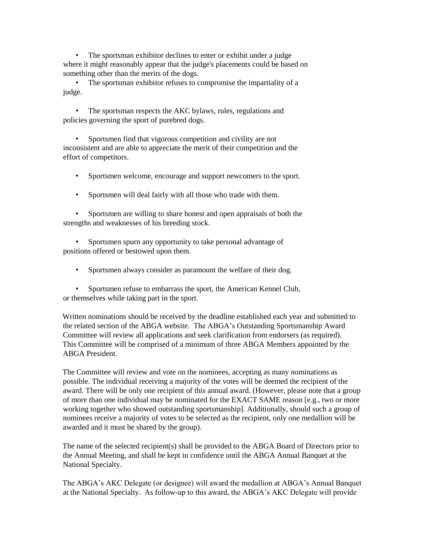• The sportsman exhibitor declines to enter or exhibit under a judge where it might reasonably appear that the judge's placements could be based on something other than the merits of the dogs.

• The sportsman exhibitor refuses to compromise the impartiality of a judge.

• The sportsman respects the AKC bylaws, rules, regulations and policies governing the sport of purebred dogs.

• Sportsmen find that vigorous competition and civility are not inconsistent and are able to appreciate the merit of their competition and the effort of competitors.

• Sportsmen welcome, encourage and support newcomers to the sport.

• Sportsmen will deal fairly with all those who trade with them.

• Sportsmen are willing to share honest and open appraisals of both the strengths and weaknesses of his breeding stock.

• Sportsmen spurn any opportunity to take personal advantage of positions offered or bestowed upon them.

• Sportsmen always consider as paramount the welfare of their dog.

• Sportsmen refuse to embarrass the sport, the American Kennel Club, or themselves while taking part in the sport.

Written nominations should be received by the deadline established each year and submitted to the related section of the ABGA website. The ABGA's Outstanding Sportsmanship Award Committee will review all applications and seek clarification from endorsers (as required). This Committee will be comprised of a minimum of three ABGA Members appointed by the ABGA President.

The Committee will review and vote on the nominees, accepting as many nominations as possible. The individual receiving a majority of the votes will be deemed the recipient of the award. There will be only one recipient of this annual award. (However, please note that a group of more than one individual may be nominated for the EXACT SAME reason [e.g., two or more working together who showed outstanding sportsmanship]. Additionally, should such a group of nominees receive a majority of votes to be selected as the recipient, only one medallion will be awarded and it must be shared by the group).

The name of the selected recipient(s) shall be provided to the ABGA Board of Directors prior to the Annual Meeting, and shall be kept in confidence until the ABGA Annual Banquet at the National Specialty.

The ABGA's AKC Delegate (or designee) will award the medallion at ABGA's Annual Banquet at the National Specialty. As follow-up to this award, the ABGA's AKC Delegate will provide